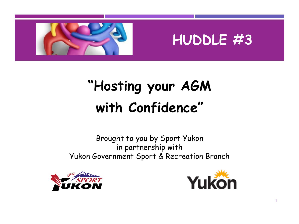

# **HUDDLE #3**

# **"Hosting your AGM with Confidence"**

Brought to you by Sport Yukon in partnership with Yukon Government Sport & Recreation Branch





1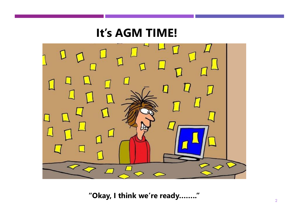## **It's AGM TIME!**



**"Okay, I think we're ready…….."**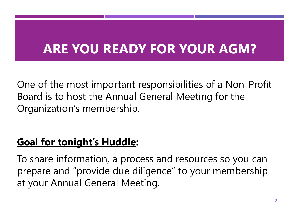# **ARE YOU READY FOR YOUR AGM?**

One of the most important responsibilities of a Non-Profit Board is to host the Annual General Meeting for the Organization's membership.

## **Goal for tonight's Huddle:**

To share information, a process and resources so you can prepare and "provide due diligence" to your membership at your Annual General Meeting.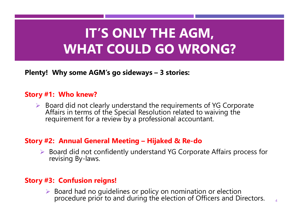# **IT'S ONLY THE AGM, WHAT COULD GO WRONG?**

**Plenty! Why some AGM's go sideways – 3 stories:** 

#### **Story #1: Who knew?**

▶ Board did not clearly understand the requirements of YG Corporate Affairs in terms of the Special Resolution related to waiving the requirement for a review by a professional accountant.

#### **Story #2: Annual General Meeting – Hijaked & Re-do**

 Board did not confidently understand YG Corporate Affairs process for revising By-laws.

#### **Story #3: Confusion reigns!**

 $\triangleright$  Board had no guidelines or policy on nomination or election procedure prior to and during the election of Officers and Directors.  $\frac{4}{4}$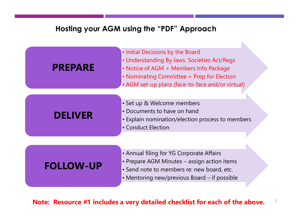#### **Hosting your AGM using the "PDF" Approach**



**Note: Resource #1 includes a very detailed checklist for each of the above.**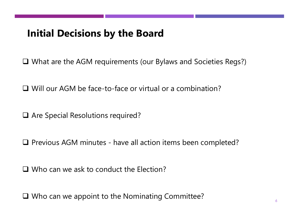### **Initial Decisions by the Board**

What are the AGM requirements (our Bylaws and Societies Regs?)

Will our AGM be face-to-face or virtual or a combination?

□ Are Special Resolutions required?

 $\Box$  Previous AGM minutes - have all action items been completed?

□ Who can we ask to conduct the Election?

□ Who can we appoint to the Nominating Committee?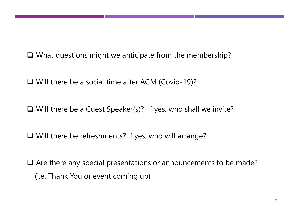$\Box$  What questions might we anticipate from the membership?

Will there be a social time after AGM (Covid-19)?

 $\Box$  Will there be a Guest Speaker(s)? If yes, who shall we invite?

□ Will there be refreshments? If yes, who will arrange?

 $\Box$  Are there any special presentations or announcements to be made? (i.e. Thank You or event coming up)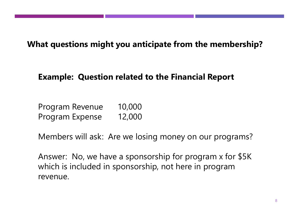**What questions might you anticipate from the membership?**

### **Example: Question related to the Financial Report**

Program Revenue 10,000 Program Expense 12,000

Members will ask: Are we losing money on our programs?

Answer: No, we have a sponsorship for program x for \$5K which is included in sponsorship, not here in program revenue.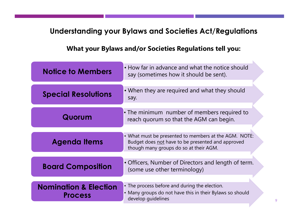### **Understanding your Bylaws and Societies Act/Regulations**

**What your Bylaws and/or Societies Regulations tell you:**

| <b>Notice to Members</b>                           | • How far in advance and what the notice should<br>say (sometimes how it should be sent).                                                            |
|----------------------------------------------------|------------------------------------------------------------------------------------------------------------------------------------------------------|
| <b>Special Resolutions</b>                         | • When they are required and what they should<br>say.                                                                                                |
| Quorum                                             | • The minimum number of members required to<br>reach quorum so that the AGM can begin.                                                               |
| <b>Agenda Items</b>                                | • What must be presented to members at the AGM. NOTE:<br>Budget does not have to be presented and approved<br>though many groups do so at their AGM. |
| <b>Board Composition</b>                           | • Officers, Number of Directors and length of term.<br>(some use other terminology)                                                                  |
| <b>Nomination &amp; Election</b><br><b>Process</b> | • The process before and during the election.<br>• Many groups do not have this in their Bylaws so should<br>develop guidelines                      |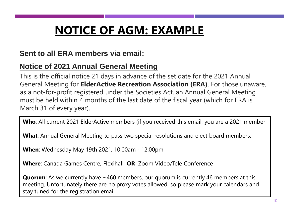# **NOTICE OF AGM: EXAMPLE**

### **Sent to all ERA members via email:**

### **Notice of 2021 Annual General Meeting**

This is the official notice 21 days in advance of the set date for the 2021 Annual General Meeting for **ElderActive Recreation Association (ERA)**. For those unaware, as a not-for-profit registered under the Societies Act, an Annual General Meeting must be held within 4 months of the last date of the fiscal year (which for ERA is March 31 of every year).

**Who**: All current 2021 ElderActive members (if you received this email, you are a 2021 member

**What**: Annual General Meeting to pass two special resolutions and elect board members.

**When**: Wednesday May 19th 2021, 10:00am - 12:00pm

**Where**: Canada Games Centre, Flexihall **OR** Zoom Video/Tele Conference

**Quorum**: As we currently have ~460 members, our quorum is currently 46 members at this meeting. Unfortunately there are no proxy votes allowed, so please mark your calendars and stay tuned for the registration email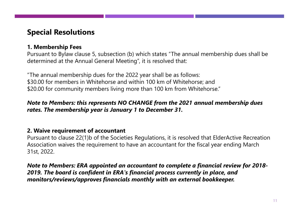### **Special Resolutions**

#### **1. Membership Fees**

Pursuant to Bylaw clause 5, subsection (b) which states "The annual membership dues shall be determined at the Annual General Meeting", it is resolved that:

"The annual membership dues for the 2022 year shall be as follows: \$30.00 for members in Whitehorse and within 100 km of Whitehorse; and \$20.00 for community members living more than 100 km from Whitehorse."

#### *Note to Members: this represents NO CHANGE from the 2021 annual membership dues rates. The membership year is January 1 to December 31.*

#### **2. Waive requirement of accountant**

Pursuant to clause 22(1)b of the Societies Regulations, it is resolved that ElderActive Recreation Association waives the requirement to have an accountant for the fiscal year ending March 31st, 2022.

*Note to Members: ERA appointed an accountant to complete a financial review for 2018- 2019. The board is confident in ERA's financial process currently in place, and monitors/reviews/approves financials monthly with an external bookkeeper.*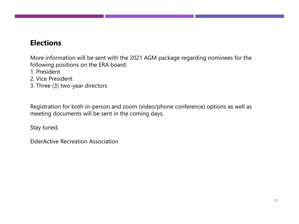### **Elections**

More information will be sent with the 2021 AGM package regarding nominees for the following positions on the ERA board:

- 1. President
- 2. Vice President
- 3. Three (3) two-year directors

Registration for both in-person and zoom (video/phone conference) options as well as meeting documents will be sent in the coming days.

Stay tuned,

ElderActive Recreation Association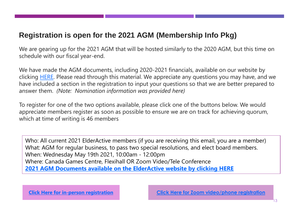### **Registration is open for the 2021 AGM (Membership Info Pkg)**

We are gearing up for the 2021 AGM that will be hosted similarly to the 2020 AGM, but this time on schedule with our fiscal year-end.

We have made the AGM documents, including 2020-2021 financials, available on our website by clicking [HERE.](https://u14745508.ct.sendgrid.net/ls/click?upn=eHLQArZUDjuacNjPY-2FkEBzA5MC4aKMAVgiMPLPGw5gDmwgUzYfSSv9rsRGs1HamP4S3n_ZFQpIvrDXkhxBsuG17Ccgri-2FUqeOvEUve-2B-2B0qoYkYBixzRmAH1XrhhEbDMn9CCn8QqggrhZy8IFA-2FhZHxm1QvV12oMdTZc3gkns7-2FJ9bIfyQ2k-2F20B58Q3n5MYqu4fGp8pcsbv-2FJmE8PgiCFBVS3ww0uC-2Fevn-2BWG-2FxpVBiwctRuuzigDSvkL3PPBQlg5I1rCryAyQtmD4pBIJMpn2RDl6r5lpRyfXP0Qnd5SwQi0EySxVJ9PnYjaW7onineZ3Unf5ZfCRvmirGYOE7mQ272tPKAoUXyBqjH8-2BEh-2FXrFl7GaqHmGm19xZ4Kqm8Hn9n5JAc-2B9q0e-2F1M5QVqAtZfbk7Nmq5cF1x6gg-2FGr7H6THVMH9DwmYncbtCBu3P6LMiRgnEM2LrpB2eL7qbVzRezVn9ERCcuLeqPnRJv8y7cYVKAyHweyLwzvaehoVkLr190wlm-2Fe-2FsCm8e2WViZDocxRDVCR6naPL-2B3TE5l01PRkN0dww-3D) Please read through this material. We appreciate any questions you may have, and we have included a section in the registration to input your questions so that we are better prepared to answer them. *(Note: Nomination information was provided here)*

To register for one of the two options available, please click one of the buttons below. We would appreciate members register as soon as possible to ensure we are on track for achieving quorum, which at time of writing is 46 members

Who: All current 2021 ElderActive members (if you are receiving this email, you are a member) What: AGM for regular business, to pass two special resolutions, and elect board members. When: Wednesday May 19th 2021, 10:00am - 12:00pm Where: Canada Games Centre, Flexihall OR Zoom Video/Tele Conference **[2021 AGM Documents available on the ElderActive](https://u14745508.ct.sendgrid.net/ls/click?upn=eHLQArZUDjuacNjPY-2FkEBzA5MC4aKMAVgiMPLPGw5gDmwgUzYfSSv9rsRGs1HamPLAuo_ZFQpIvrDXkhxBsuG17Ccgri-2FUqeOvEUve-2B-2B0qoYkYBixzRmAH1XrhhEbDMn9CCn8QqggrhZy8IFA-2FhZHxm1QvV12oMdTZc3gkns7-2FJ9bIfyQ2k-2F20B58Q3n5MYqu4fGp8pcsbv-2FJmE8PgiCFBVS3ww0uC-2Fevn-2BWG-2FxpVBiwctRuuzigDSvkL3PPBQlg5I1rCryAyQtmD4pBIJMpn2RDl6r5lpRyfXP0Qnd5SwQi0EySxVJ9PnYjaW7onineZ3Unf5ZfCRvmirGYOE7mQ272tPKAoUXyBqjH8-2BEh-2FXrFl7GaqHmGm19xZ4Kqm8Hn9n5JAc-2B9q0e-2F1M5QVqAtZfbk7NmYTJpM1-2F03Zv7TcSxQ20GfE0ROTfr2bOJNLy6hMu5KtI42RAS5pgsMkLf6A46vxyDNfpg4M3IdbdsVqoKI8o0z-2BljzCemeeKDtw45yJnljUe3kIQn2zLIP7P8aCjPeHbNgoXy2QZWVnhxndtt0MzD8-3D) website by clicking HERE**

**[Click Here for in-person registration](https://u14745508.ct.sendgrid.net/ls/click?upn=7omoEkKB0ln27uMvoRZYZWxN7-2BSvxNuUi6oTXbJeeIZSLiEL46A9-2BK2Ogzghtaqezc7TqBGG-2F7gYechEOJSc40aLbxj4J3HYy8hxGZz4PLgW76aRwF-2Bm9mL514lFwcHJn3tu8495U1jI3LpuPs0A-2FyYPGWwdoqZ8oApavYjU4dU-3DAxr6_ZFQpIvrDXkhxBsuG17Ccgri-2FUqeOvEUve-2B-2B0qoYkYBixzRmAH1XrhhEbDMn9CCn8QqggrhZy8IFA-2FhZHxm1QvV12oMdTZc3gkns7-2FJ9bIfyQ2k-2F20B58Q3n5MYqu4fGp8pcsbv-2FJmE8PgiCFBVS3ww0uC-2Fevn-2BWG-2FxpVBiwctRuuzigDSvkL3PPBQlg5I1rCryAyQtmD4pBIJMpn2RDl6r5lpRyfXP0Qnd5SwQi0EySxVJ9PnYjaW7onineZ3Unf5ZfCRvmirGYOE7mQ272tPKAoUXyBqjH8-2BEh-2FXrFl7GaqHmGm19xZ4Kqm8Hn9n5JAc-2B9q0e-2F1M5QVqAtZfbk7NmZD-2BpgIUTJHkHDgPzhJB8XFj24-2BT3YsiwzHnJ91IpFoHlrKE3Dx5fdpw4-2FAZ0pc4Ogj2y5FuJNN6scvlGYamUaDNVaVB27l96hMBUtL5ikddYnIqURV3QzXBgCkbrXMSsu7G6562xRYBdZTtwILkBY-3D) [Click Here for Zoom video/phone registration](https://u14745508.ct.sendgrid.net/ls/click?upn=7omoEkKB0ln27uMvoRZYZbEGB7iwP22noOW-2FC9qKTswEIHqR1649hCJH1iLIQTsqGlaYc8Posz6WRdGTfanWm-2FwgenZSRnbJlyoJ8hrMuJdSGic6-2FVFsrpnsgyeoqNFTfXqZ_ZFQpIvrDXkhxBsuG17Ccgri-2FUqeOvEUve-2B-2B0qoYkYBixzRmAH1XrhhEbDMn9CCn8QqggrhZy8IFA-2FhZHxm1QvV12oMdTZc3gkns7-2FJ9bIfyQ2k-2F20B58Q3n5MYqu4fGp8pcsbv-2FJmE8PgiCFBVS3ww0uC-2Fevn-2BWG-2FxpVBiwctRuuzigDSvkL3PPBQlg5I1rCryAyQtmD4pBIJMpn2RDl6r5lpRyfXP0Qnd5SwQi0EySxVJ9PnYjaW7onineZ3Unf5ZfCRvmirGYOE7mQ272tPKAoUXyBqjH8-2BEh-2FXrFl7GaqHmGm19xZ4Kqm8Hn9n5JAc-2B9q0e-2F1M5QVqAtZfbk7Nh1DxJRDtLScNxhfEpnQVEXlColt5chMFFu9YkmhQ2KxJ5yCcRpjdYg7azmdVC-2BsCMDnn0Eu4IDnUtE5xQ78oOpxrtXK-2BxjXSvGlrsvW5Z-2Fj9XljzzxvivGbvZH75ucnnaVX9EQOCd2Yzul2RFO81CM-3D)**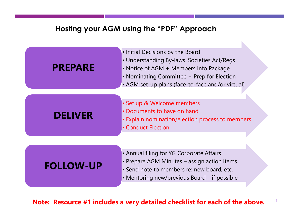#### **Hosting your AGM using the "PDF" Approach**



**Note: Resource #1 includes a very detailed checklist for each of the above.**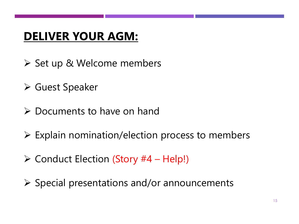## **DELIVER YOUR AGM:**

- ▶ Set up & Welcome members
- Guest Speaker
- $\triangleright$  Documents to have on hand
- $\triangleright$  Explain nomination/election process to members
- $\triangleright$  Conduct Election (Story #4 Help!)
- $\triangleright$  Special presentations and/or announcements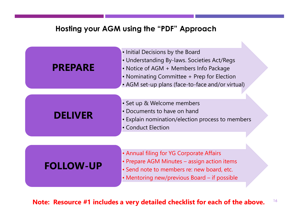#### **Hosting your AGM using the "PDF" Approach**



**Note: Resource #1 includes a very detailed checklist for each of the above.**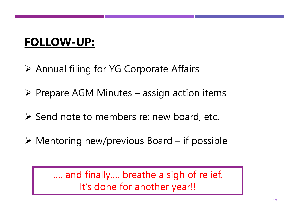# **FOLLOW-UP:**

- Annual filing for YG Corporate Affairs
- $\triangleright$  Prepare AGM Minutes assign action items
- $\triangleright$  Send note to members re: new board, etc.
- $\triangleright$  Mentoring new/previous Board if possible

…. and finally…. breathe a sigh of relief. It's done for another year!!